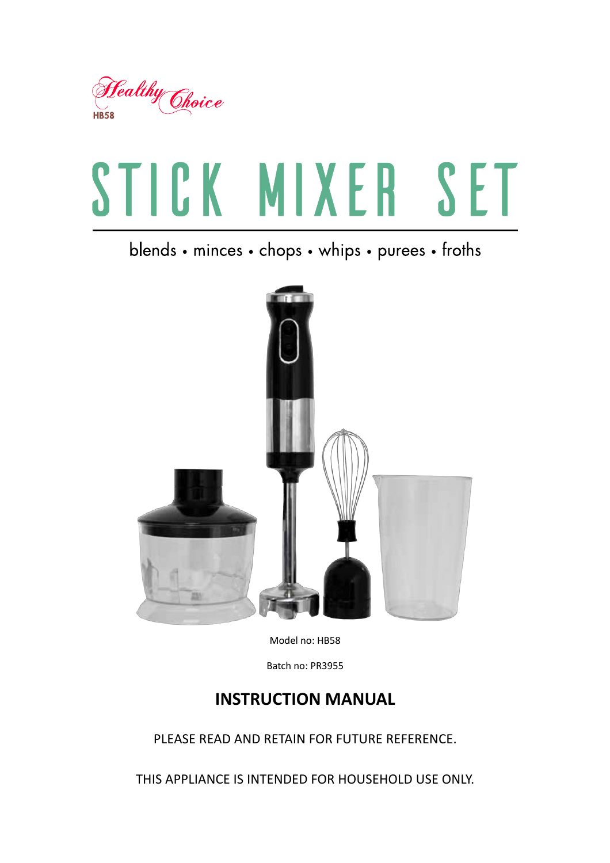

# STICK MIXER SET

blends • minces • chops • whips • purees • froths



Model no: HB58

Batch no: PR3955

# **INSTRUCTION MANUAL**

PLEASE READ AND RETAIN FOR FUTURE REFERENCE.

THIS APPLIANCE IS INTENDED FOR HOUSEHOLD USE ONLY.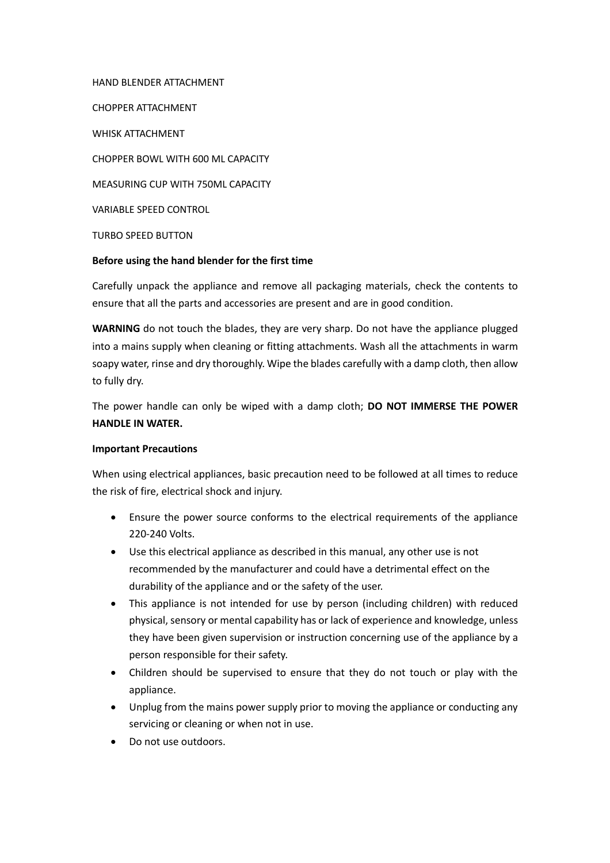HAND BLENDER ATTACHMENT

**CHOPPER ATTACHMENT** 

**WHISK ATTACHMENT** 

CHOPPER BOWL WITH 600 ML CAPACITY

MEASURING CUP WITH 750ML CAPACITY

VARIABLE SPEED CONTROL

**TURBO SPEED BUTTON** 

#### Before using the hand blender for the first time

Carefully unpack the appliance and remove all packaging materials, check the contents to ensure that all the parts and accessories are present and are in good condition.

WARNING do not touch the blades, they are very sharp. Do not have the appliance plugged into a mains supply when cleaning or fitting attachments. Wash all the attachments in warm soapy water, rinse and dry thoroughly. Wipe the blades carefully with a damp cloth, then allow to fully dry.

The power handle can only be wiped with a damp cloth; DO NOT IMMERSE THE POWER **HANDLE IN WATER.** 

#### **Important Precautions**

When using electrical appliances, basic precaution need to be followed at all times to reduce the risk of fire, electrical shock and injury.

- Ensure the power source conforms to the electrical requirements of the appliance 220-240 Volts.
- Use this electrical appliance as described in this manual, any other use is not recommended by the manufacturer and could have a detrimental effect on the durability of the appliance and or the safety of the user.
- This appliance is not intended for use by person (including children) with reduced  $\bullet$ physical, sensory or mental capability has or lack of experience and knowledge, unless they have been given supervision or instruction concerning use of the appliance by a person responsible for their safety.
- Children should be supervised to ensure that they do not touch or play with the appliance.
- Unplug from the mains power supply prior to moving the appliance or conducting any servicing or cleaning or when not in use.
- Do not use outdoors.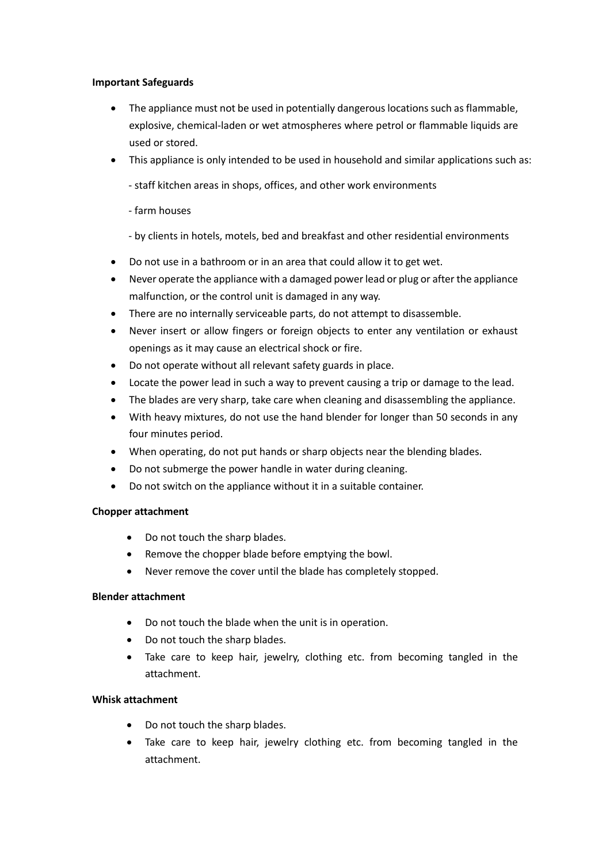#### **Important Safeguards**

- The appliance must not be used in potentially dangerous locations such as flammable, explosive, chemical-laden or wet atmospheres where petrol or flammable liquids are used or stored.
- This appliance is only intended to be used in household and similar applications such as:
	- staff kitchen areas in shops, offices, and other work environments
	- farm houses
	- by clients in hotels, motels, bed and breakfast and other residential environments
- Do not use in a bathroom or in an area that could allow it to get wet.
- Never operate the appliance with a damaged power lead or plug or after the appliance malfunction, or the control unit is damaged in any way.
- There are no internally serviceable parts, do not attempt to disassemble.
- Never insert or allow fingers or foreign objects to enter any ventilation or exhaust openings as it may cause an electrical shock or fire.
- Do not operate without all relevant safety guards in place.
- Locate the power lead in such a way to prevent causing a trip or damage to the lead.  $\bullet$
- The blades are very sharp, take care when cleaning and disassembling the appliance.
- With heavy mixtures, do not use the hand blender for longer than 50 seconds in any  $\bullet$ four minutes period.
- When operating, do not put hands or sharp objects near the blending blades.
- Do not submerge the power handle in water during cleaning.
- Do not switch on the appliance without it in a suitable container.  $\bullet$

# **Chopper attachment**

- Do not touch the sharp blades.  $\bullet$
- Remove the chopper blade before emptying the bowl.  $\bullet$
- Never remove the cover until the blade has completely stopped.

# **Blender attachment**

- Do not touch the blade when the unit is in operation.
- Do not touch the sharp blades.  $\bullet$
- Take care to keep hair, jewelry, clothing etc. from becoming tangled in the attachment.

# **Whisk attachment**

- Do not touch the sharp blades.
- Take care to keep hair, jewelry clothing etc. from becoming tangled in the  $\bullet$ attachment.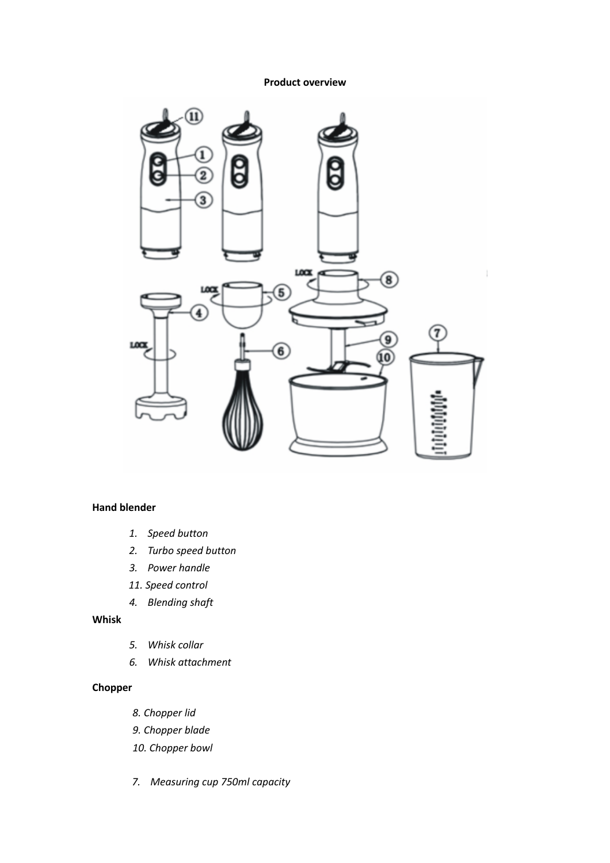#### **Product overview**



#### **Hand blender**

- 1. Speed button
- 2. Turbo speed button
- 3. Power handle
- 11. Speed control
- 4. Blending shaft

## Whisk

- 5. Whisk collar
- 6. Whisk attachment

## Chopper

- 8. Chopper lid
- 9. Chopper blade
- 10. Chopper bowl
- 7. Measuring cup 750ml capacity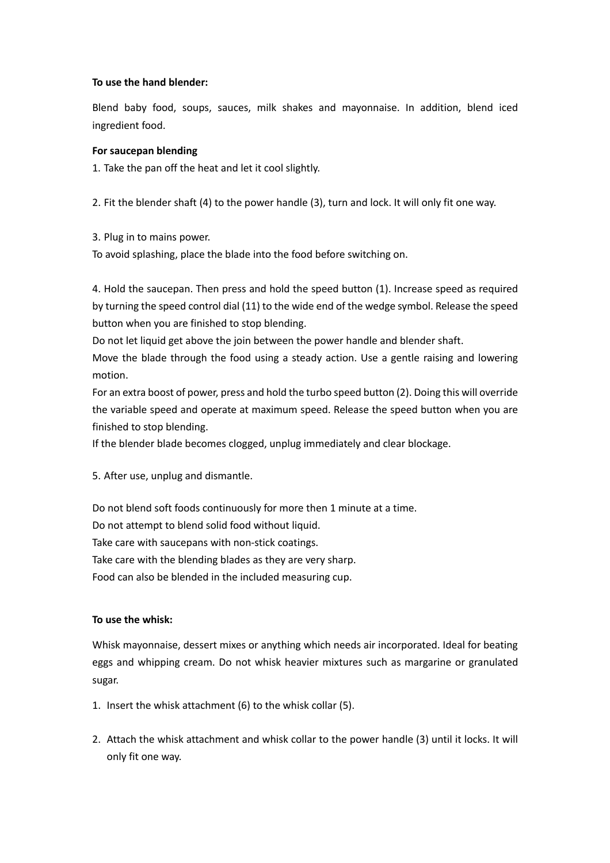#### To use the hand blender:

Blend baby food, soups, sauces, milk shakes and mayonnaise. In addition, blend iced ingredient food.

#### For saucepan blending

1. Take the pan off the heat and let it cool slightly.

2. Fit the blender shaft (4) to the power handle (3), turn and lock. It will only fit one way.

3. Plug in to mains power.

To avoid splashing, place the blade into the food before switching on.

4. Hold the saucepan. Then press and hold the speed button (1). Increase speed as required by turning the speed control dial (11) to the wide end of the wedge symbol. Release the speed button when you are finished to stop blending.

Do not let liquid get above the join between the power handle and blender shaft.

Move the blade through the food using a steady action. Use a gentle raising and lowering motion.

For an extra boost of power, press and hold the turbo speed button (2). Doing this will override the variable speed and operate at maximum speed. Release the speed button when you are finished to stop blending.

If the blender blade becomes clogged, unplug immediately and clear blockage.

5. After use, unplug and dismantle.

Do not blend soft foods continuously for more then 1 minute at a time.

Do not attempt to blend solid food without liquid.

Take care with saucepans with non-stick coatings.

Take care with the blending blades as they are very sharp.

Food can also be blended in the included measuring cup.

# To use the whisk:

Whisk mayonnaise, dessert mixes or anything which needs air incorporated. Ideal for beating eggs and whipping cream. Do not whisk heavier mixtures such as margarine or granulated sugar.

- 1. Insert the whisk attachment (6) to the whisk collar (5).
- 2. Attach the whisk attachment and whisk collar to the power handle (3) until it locks. It will only fit one way.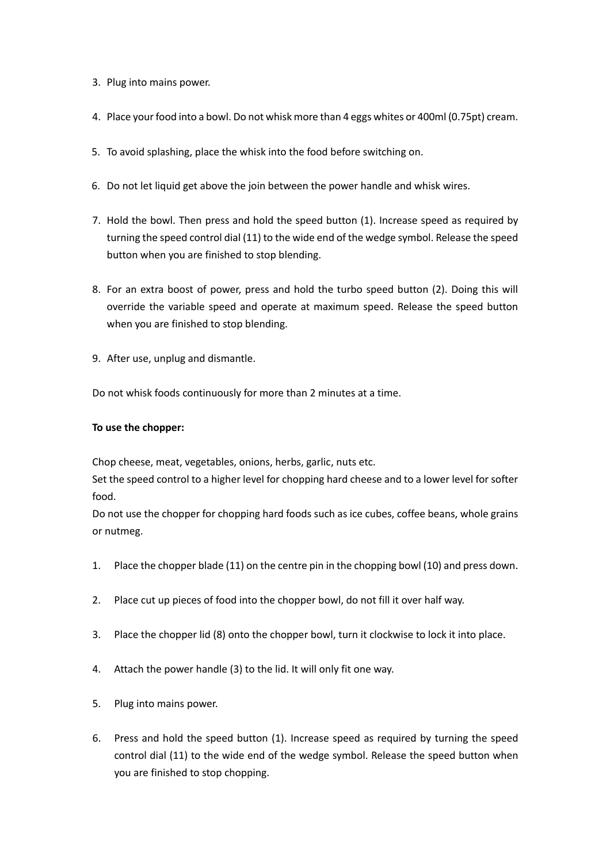- 3. Plug into mains power.
- 4. Place your food into a bowl. Do not whisk more than 4 eggs whites or 400ml (0.75pt) cream.
- 5. To avoid splashing, place the whisk into the food before switching on.
- 6. Do not let liquid get above the join between the power handle and whisk wires.
- 7. Hold the bowl. Then press and hold the speed button (1). Increase speed as required by turning the speed control dial (11) to the wide end of the wedge symbol. Release the speed button when you are finished to stop blending.
- 8. For an extra boost of power, press and hold the turbo speed button (2). Doing this will override the variable speed and operate at maximum speed. Release the speed button when you are finished to stop blending.
- 9. After use, unplug and dismantle.

Do not whisk foods continuously for more than 2 minutes at a time.

#### To use the chopper:

Chop cheese, meat, vegetables, onions, herbs, garlic, nuts etc.

Set the speed control to a higher level for chopping hard cheese and to a lower level for softer food.

Do not use the chopper for chopping hard foods such as ice cubes, coffee beans, whole grains or nutmeg.

- Place the chopper blade (11) on the centre pin in the chopping bowl (10) and press down.  $1.$
- $2.$ Place cut up pieces of food into the chopper bowl, do not fill it over half way.
- Place the chopper lid (8) onto the chopper bowl, turn it clockwise to lock it into place.  $3.$
- 4. Attach the power handle (3) to the lid. It will only fit one way.
- 5. Plug into mains power.
- 6. Press and hold the speed button (1). Increase speed as required by turning the speed control dial (11) to the wide end of the wedge symbol. Release the speed button when you are finished to stop chopping.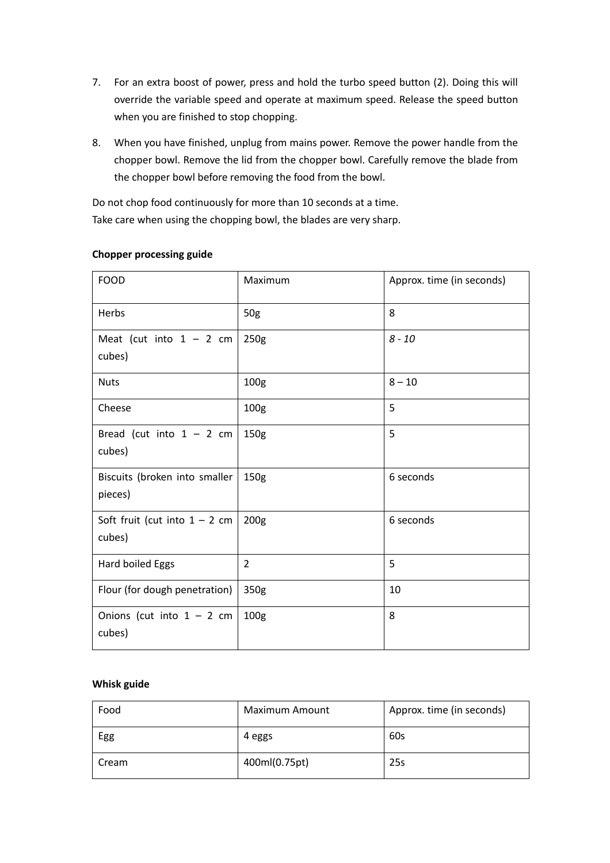- 7. For an extra boost of power, press and hold the turbo speed button (2). Doing this will override the variable speed and operate at maximum speed. Release the speed button when you are finished to stop chopping.
- 8. When you have finished, unplug from mains power. Remove the power handle from the chopper bowl. Remove the lid from the chopper bowl. Carefully remove the blade from the chopper bowl before removing the food from the bowl.

Do not chop food continuously for more than 10 seconds at a time. Take care when using the chopping bowl, the blades are very sharp.

| <b>FOOD</b>                               | Maximum          | Approx. time (in seconds) |
|-------------------------------------------|------------------|---------------------------|
| Herbs                                     | 50g              | 8                         |
| Meat (cut into $1 - 2$ cm<br>cubes)       | 250g             | $8 - 10$                  |
| <b>Nuts</b>                               | 100 <sub>g</sub> | $8 - 10$                  |
| Cheese                                    | 100 <sub>g</sub> | 5                         |
| Bread (cut into $1 - 2$ cm<br>cubes)      | 150 <sub>g</sub> | 5                         |
| Biscuits (broken into smaller<br>pieces)  | 150 <sub>g</sub> | 6 seconds                 |
| Soft fruit (cut into $1 - 2$ cm<br>cubes) | 200 <sub>g</sub> | 6 seconds                 |
| Hard boiled Eggs                          | $\overline{2}$   | 5                         |
| Flour (for dough penetration)             | 350g             | 10                        |
| Onions (cut into $1 - 2$ cm<br>cubes)     | 100 <sub>g</sub> | 8                         |

# **Chopper processing guide**

#### Whisk guide

| Food  | Maximum Amount | Approx. time (in seconds) |
|-------|----------------|---------------------------|
| Egg   | 4 eggs         | 60s                       |
| Cream | 400ml(0.75pt)  | 25s                       |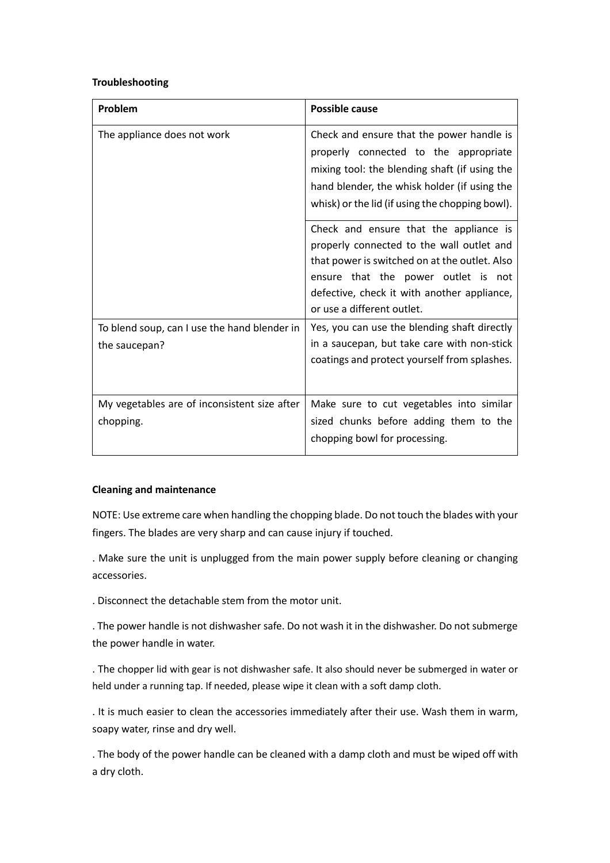#### **Troubleshooting**

| Problem                                                       | Possible cause                                                                                                                                                                                                                                           |
|---------------------------------------------------------------|----------------------------------------------------------------------------------------------------------------------------------------------------------------------------------------------------------------------------------------------------------|
| The appliance does not work                                   | Check and ensure that the power handle is<br>properly connected to the appropriate<br>mixing tool: the blending shaft (if using the<br>hand blender, the whisk holder (if using the<br>whisk) or the lid (if using the chopping bowl).                   |
|                                                               | Check and ensure that the appliance is<br>properly connected to the wall outlet and<br>that power is switched on at the outlet. Also<br>ensure that the power outlet is not<br>defective, check it with another appliance,<br>or use a different outlet. |
| To blend soup, can I use the hand blender in<br>the saucepan? | Yes, you can use the blending shaft directly<br>in a saucepan, but take care with non-stick<br>coatings and protect yourself from splashes.                                                                                                              |
| My vegetables are of inconsistent size after<br>chopping.     | Make sure to cut vegetables into similar<br>sized chunks before adding them to the<br>chopping bowl for processing.                                                                                                                                      |

#### **Cleaning and maintenance**

NOTE: Use extreme care when handling the chopping blade. Do not touch the blades with your fingers. The blades are very sharp and can cause injury if touched.

. Make sure the unit is unplugged from the main power supply before cleaning or changing accessories.

. Disconnect the detachable stem from the motor unit.

. The power handle is not dishwasher safe. Do not wash it in the dishwasher. Do not submerge the power handle in water.

. The chopper lid with gear is not dishwasher safe. It also should never be submerged in water or held under a running tap. If needed, please wipe it clean with a soft damp cloth.

. It is much easier to clean the accessories immediately after their use. Wash them in warm, soapy water, rinse and dry well.

. The body of the power handle can be cleaned with a damp cloth and must be wiped off with a dry cloth.